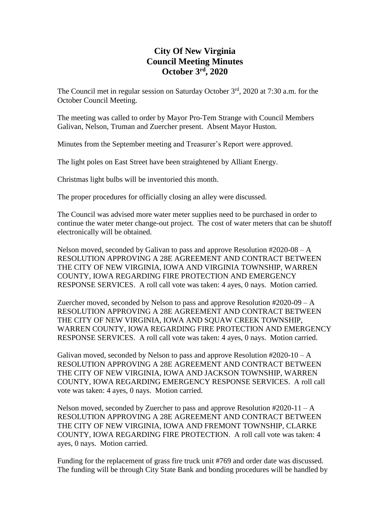# **City Of New Virginia Council Meeting Minutes October 3 rd , 2020**

The Council met in regular session on Saturday October  $3<sup>rd</sup>$ , 2020 at 7:30 a.m. for the October Council Meeting.

The meeting was called to order by Mayor Pro-Tem Strange with Council Members Galivan, Nelson, Truman and Zuercher present. Absent Mayor Huston.

Minutes from the September meeting and Treasurer's Report were approved.

The light poles on East Street have been straightened by Alliant Energy.

Christmas light bulbs will be inventoried this month.

The proper procedures for officially closing an alley were discussed.

The Council was advised more water meter supplies need to be purchased in order to continue the water meter change-out project. The cost of water meters that can be shutoff electronically will be obtained.

Nelson moved, seconded by Galivan to pass and approve Resolution  $#2020-08 - A$ RESOLUTION APPROVING A 28E AGREEMENT AND CONTRACT BETWEEN THE CITY OF NEW VIRGINIA, IOWA AND VIRGINIA TOWNSHIP, WARREN COUNTY, IOWA REGARDING FIRE PROTECTION AND EMERGENCY RESPONSE SERVICES. A roll call vote was taken: 4 ayes, 0 nays. Motion carried.

Zuercher moved, seconded by Nelson to pass and approve Resolution  $#2020-09 - A$ RESOLUTION APPROVING A 28E AGREEMENT AND CONTRACT BETWEEN THE CITY OF NEW VIRGINIA, IOWA AND SQUAW CREEK TOWNSHIP, WARREN COUNTY, IOWA REGARDING FIRE PROTECTION AND EMERGENCY RESPONSE SERVICES. A roll call vote was taken: 4 ayes, 0 nays. Motion carried.

Galivan moved, seconded by Nelson to pass and approve Resolution  $\text{\#2020-10-A}$ RESOLUTION APPROVING A 28E AGREEMENT AND CONTRACT BETWEEN THE CITY OF NEW VIRGINIA, IOWA AND JACKSON TOWNSHIP, WARREN COUNTY, IOWA REGARDING EMERGENCY RESPONSE SERVICES. A roll call vote was taken: 4 ayes, 0 nays. Motion carried.

Nelson moved, seconded by Zuercher to pass and approve Resolution  $#2020-11-A$ RESOLUTION APPROVING A 28E AGREEMENT AND CONTRACT BETWEEN THE CITY OF NEW VIRGINIA, IOWA AND FREMONT TOWNSHIP, CLARKE COUNTY, IOWA REGARDING FIRE PROTECTION. A roll call vote was taken: 4 ayes, 0 nays. Motion carried.

Funding for the replacement of grass fire truck unit #769 and order date was discussed. The funding will be through City State Bank and bonding procedures will be handled by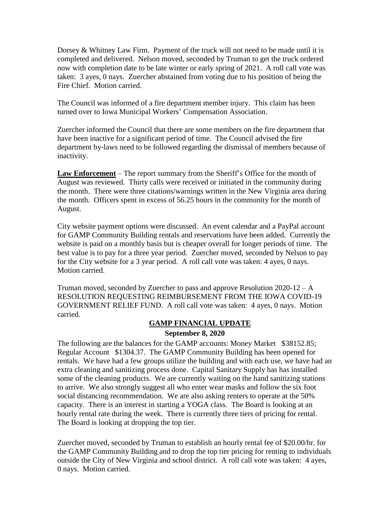Dorsey & Whitney Law Firm. Payment of the truck will not need to be made until it is completed and delivered. Nelson moved, seconded by Truman to get the truck ordered now with completion date to be late winter or early spring of 2021. A roll call vote was taken: 3 ayes, 0 nays. Zuercher abstained from voting due to his position of being the Fire Chief. Motion carried.

The Council was informed of a fire department member injury. This claim has been turned over to Iowa Municipal Workers' Compensation Association.

Zuercher informed the Council that there are some members on the fire department that have been inactive for a significant period of time. The Council advised the fire department by-laws need to be followed regarding the dismissal of members because of inactivity.

**Law Enforcement** – The report summary from the Sheriff's Office for the month of August was reviewed. Thirty calls were received or initiated in the community during the month. There were three citations/warnings written in the New Virginia area during the month. Officers spent in excess of 56.25 hours in the community for the month of August.

City website payment options were discussed. An event calendar and a PayPal account for GAMP Community Building rentals and reservations have been added. Currently the website is paid on a monthly basis but is cheaper overall for longer periods of time. The best value is to pay for a three year period. Zuercher moved, seconded by Nelson to pay for the City website for a 3 year period. A roll call vote was taken: 4 ayes, 0 nays. Motion carried.

Truman moved, seconded by Zuercher to pass and approve Resolution  $2020-12-A$ RESOLUTION REQUESTING REIMBURSEMENT FROM THE IOWA COVID-19 GOVERNMENT RELIEF FUND. A roll call vote was taken: 4 ayes, 0 nays. Motion carried.

### **GAMP FINANCIAL UPDATE**

#### **September 8, 2020**

The following are the balances for the GAMP accounts: Money Market \$38152.85; Regular Account \$1304.37. The GAMP Community Building has been opened for rentals. We have had a few groups utilize the building and with each use, we have had an extra cleaning and sanitizing process done. Capital Sanitary Supply has has installed some of the cleaning products. We are currently waiting on the hand sanitizing stations to arrive. We also strongly suggest all who enter wear masks and follow the six foot social distancing recommendation. We are also asking renters to operate at the 50% capacity. There is an interest in starting a YOGA class. The Board is looking at an hourly rental rate during the week. There is currently three tiers of pricing for rental. The Board is looking at dropping the top tier.

Zuercher moved, seconded by Truman to establish an hourly rental fee of \$20.00/hr. for the GAMP Community Building and to drop the top tier pricing for renting to individuals outside the City of New Virginia and school district. A roll call vote was taken: 4 ayes, 0 nays. Motion carried.